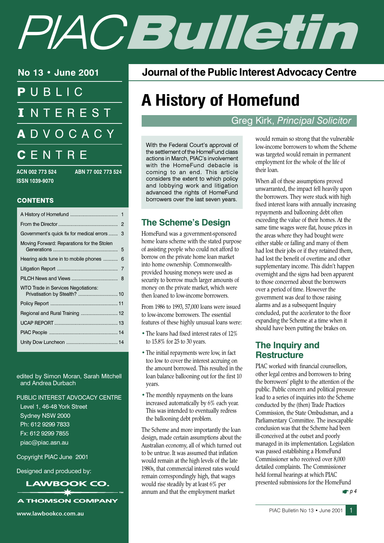# PIAC Bulletin

No 13 • June 2001

PUBLIC **INTEREST ADVOCACY** CENTRE

ACN 002 773 524 **ISSN 1039-9070** 

ABN 77 002 773 524

#### **CONTENTS**

| Government's quick fix for medical errors<br>3                       |  |
|----------------------------------------------------------------------|--|
| Moving Forward: Reparations for the Stolen<br>5                      |  |
| Hearing aids tune in to mobile phones<br>6                           |  |
| 7                                                                    |  |
|                                                                      |  |
| WTO Trade in Services Negotiations:<br>Privatisation by Stealth?  10 |  |
|                                                                      |  |
|                                                                      |  |
|                                                                      |  |
|                                                                      |  |
|                                                                      |  |
|                                                                      |  |

edited by Simon Moran, Sarah Mitchell and Andrea Durbach

#### PUBLIC INTEREST ADVOCACY CENTRE

Level 1, 46-48 York Street Sydney NSW 2000 Ph: 612 9299 7833 Fx: 612 9299 7855 piac@piac.asn.au

Copyright PIAC June 2001

Designed and produced by:

**LAWBOOK CO.** 

**A THOMSON COMPANY** 

www.lawbookco.com.au

Journal of the Public Interest Advocacy Centre

## **A History of Homefund**

**Greg Kirk, Principal Solicitor** 

With the Federal Court's approval of the settlement of the HomeFund class actions in March, PIAC's involvement with the HomeFund debacle is coming to an end. This article considers the extent to which policy and lobbying work and litigation advanced the rights of HomeFund borrowers over the last seven years.

#### **The Scheme's Desian**

HomeFund was a government-sponsored home loans scheme with the stated purpose of assisting people who could not afford to borrow on the private home loan market into home ownership. Commonwealthprovided housing moneys were used as security to borrow much larger amounts of money on the private market, which were then loaned to low-income borrowers.

From 1986 to 1993, 57,000 loans were issued to low-income borrowers. The essential features of these highly unusual loans were:

- The loans had fixed interest rates of 12% to 15.8% for 25 to 30 years.
- The initial repayments were low, in fact too low to cover the interest accruing on the amount borrowed. This resulted in the loan balance ballooning out for the first 10 years.
- The monthly repayments on the loans increased automatically by 6% each year. This was intended to eventually redress the ballooning debt problem.

The Scheme and more importantly the loan design, made certain assumptions about the Australian economy, all of which turned out to be untrue. It was assumed that inflation would remain at the high levels of the late 1980s, that commercial interest rates would remain correspondingly high, that wages would rise steadily by at least 6% per annum and that the employment market

would remain so strong that the vulnerable low-income borrowers to whom the Scheme was targeted would remain in permanent employment for the whole of the life of their loan.

When all of these assumptions proved unwarranted, the impact fell heavily upon the borrowers. They were stuck with high fixed interest loans with annually increasing repayments and ballooning debt often exceeding the value of their homes. At the same time wages were flat, house prices in the areas where they had bought were either stable or falling and many of them had lost their jobs or if they retained them, had lost the benefit of overtime and other supplementary income. This didn't happen overnight and the signs had been apparent to those concerned about the borrowers over a period of time. However the government was deaf to those raising alarms and as a subsequent Inquiry concluded, put the accelerator to the floor expanding the Scheme at a time when it should have been putting the brakes on.

#### The Inquiry and **Restructure**

PIAC worked with financial counsellors. other legal centres and borrowers to bring the borrowers' plight to the attention of the public. Public concern and political pressure lead to a series of inquiries into the Scheme conducted by the (then) Trade Practices Commission, the State Ombudsman, and a Parliamentary Committee. The inescapable conclusion was that the Scheme had been ill-conceived at the outset and poorly managed in its implementation. Legislation was passed establishing a HomeFund Commissioner who received over 8,000 detailed complaints. The Commissioner held formal hearings at which PIAC presented submissions for the HomeFund

 $P<sub>p</sub>4$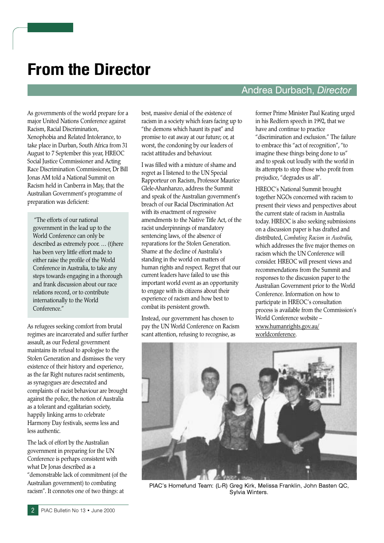## **From the Director**

As governments of the world prepare for a major United Nations Conference against Racism, Racial Discrimination, Xenophobia and Related Intolerance, to take place in Durban, South Africa from 31 August to 7 September this year, HREOC Social Justice Commissioner and Acting Race Discrimination Commissioner, Dr Bill **Ionas AM** told a National Summit on Racism held in Canberra in May, that the Australian Government's programme of preparation was deficient:

"The efforts of our national government in the lead up to the World Conference can only be described as extremely poor. ... (t)here has been very little effort made to either raise the profile of the World Conference in Australia, to take any steps towards engaging in a thorough and frank discussion about our race relations record, or to contribute internationally to the World Conference."

As refugees seeking comfort from brutal regimes are incarcerated and suffer further assault, as our Federal government maintains its refusal to apologise to the Stolen Generation and dismisses the very existence of their history and experience, as the far Right nutures racist sentiments, as synagogues are desecrated and complaints of racist behaviour are brought against the police, the notion of Australia as a tolerant and egalitarian society, happily linking arms to celebrate Harmony Day festivals, seems less and less authentic.

The lack of effort by the Australian government in preparing for the UN Conference is perhaps consistent with what Dr Jonas described as a "demonstrable lack of commitment (of the Australian government) to combating racism". It connotes one of two things: at

best, massive denial of the existence of racism in a society which fears facing up to "the demons which haunt its past" and promise to eat away at our future; or, at worst, the condoning by our leaders of racist attitudes and behaviour

I was filled with a mixture of shame and regret as I listened to the UN Special Rapporteur on Racism, Professor Maurice Glele-Ahanhanzo, address the Summit and speak of the Australian government's breach of our Racial Discrimination Act with its enactment of regressive amendments to the Native Title Act, of the racist underpinnings of mandatory sentencing laws, of the absence of reparations for the Stolen Generation. Shame at the decline of Australia's standing in the world on matters of human rights and respect. Regret that our current leaders have failed to use this important world event as an opportunity to engage with its citizens about their experience of racism and how best to combat its persistent growth.

Instead, our government has chosen to pay the UN World Conference on Racism scant attention, refusing to recognise, as

#### Andrea Durbach, Director

former Prime Minister Paul Keating urged in his Redfern speech in 1992, that we have and continue to practice "discrimination and exclusion." The failure to embrace this "act of recognition", "to imagine these things being done to us" and to speak out loudly with the world in its attempts to stop those who profit from prejudice, "degrades us all".

HREOC's National Summit brought together NGOs concerned with racism to present their views and perspectives about the current state of racism in Australia today. HREOC is also seeking submissions on a discussion paper is has drafted and distributed, Combating Racism in Australia, which addresses the five maior themes on racism which the UN Conference will consider. HREOC will present views and recommendations from the Summit and responses to the discussion paper to the Australian Government prior to the World Conference. Information on how to participate in HREOC's consultation process is available from the Commission's World Conference website www.humanrights.gov.au/ worldconference.



PIAC's Homefund Team: (L-R) Greg Kirk, Melissa Franklin, John Basten QC, Sylvia Winters.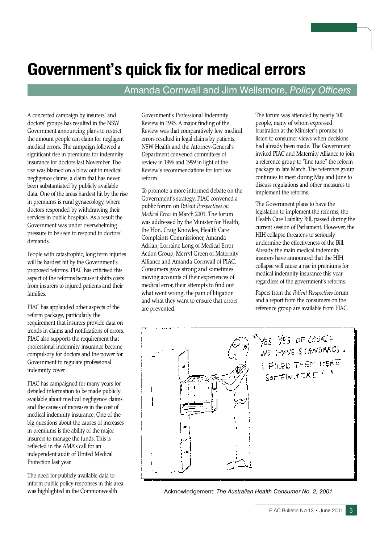## **Government's quick fix for medical errors**

#### Amanda Cornwall and Jim Wellsmore, Policy Officers

A concerted campaign by insurers' and doctors' groups has resulted in the NSW Government announcing plans to restrict the amount people can claim for negligent medical errors. The campaign followed a significant rise in premiums for indemnity insurance for doctors last November. The rise was blamed on a blow out in medical negligence claims, a claim that has never been substantiated by publicly available data. One of the areas hardest hit by the rise in premiums is rural gynaecology, where doctors responded by withdrawing their services in public hospitals. As a result the Government was under overwhelming pressure to be seen to respond to doctors' demands.

People with catastrophic, long term injuries will be hardest hit by the Government's proposed reforms. PIAC has criticised this aspect of the reforms because it shifts costs from insurers to injured patients and their families.

PIAC has applauded other aspects of the reform package, particularly the requirement that insurers provide data on trends in claims and notifications of errors. PIAC also supports the requirement that professional indemnity insurance become compulsory for doctors and the power for Government to regulate professional indemnity cover.

PIAC has campaigned for many years for detailed information to be made publicly available about medical negligence claims and the causes of increases in the cost of medical indemnity insurance. One of the big questions about the causes of increases in premiums is the ability of the major insurers to manage the funds. This is reflected in the AMA's call for an independent audit of United Medical Protection last year.

The need for publicly available data to inform public policy responses in this area was highlighted in the Commonwealth

Government's Professional Indemnity Review in 1995. A major finding of the Review was that comparatively few medical errors resulted in legal claims by patients. NSW Health and the Attorney-General's Department convened committees of review in 1996 and 1999 in light of the Review's recommendations for tort law reform

To promote a more informed debate on the Government's strategy, PIAC convened a public forum on Patient Perspectives on Medical Error in March 2001. The forum was addressed by the Minister for Health, the Hon. Craig Knowles, Health Care Complaints Commissioner, Amanda Adrian, Lorraine Long of Medical Error Action Group, Merryl Green of Maternity Alliance and Amanda Cornwall of PIAC. Consumers gave strong and sometimes moving accounts of their experiences of medical error, their attempts to find out what went wrong, the pain of litigation and what they want to ensure that errors are prevented.

The forum was attended by nearly 100 people, many of whom expressed frustration at the Minister's promise to listen to consumer views when decisions had already been made. The Government invited PIAC and Maternity Alliance to join a reference group to "fine tune" the reform package in late March. The reference group continues to meet during May and June to discuss regulations and other measures to implement the reforms.

The Government plans to have the legislation to implement the reforms, the Health Care Liability Bill, passed during the current session of Parliament. However, the HIH collapse threatens to seriously undermine the effectiveness of the Bill. Already the main medical indemnity insurers have announced that the HIH collapse will cause a rise in premiums for medical indemnity insurance this year regardless of the government's reforms.

Papers from the Patient Perspectives forum and a report from the consumers on the reference group are available from PIAC.



Acknowledgement: The Australian Health Consumer No. 2, 2001.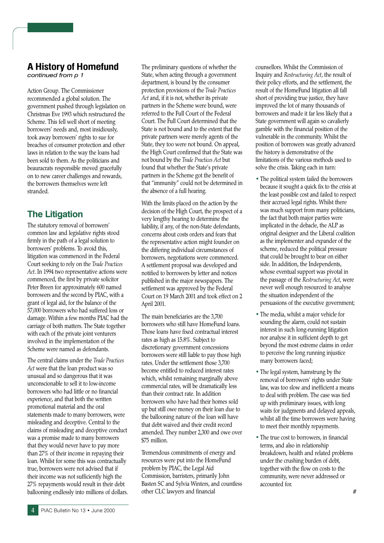### **A History of Homefund**

continued from p 1

Action Group. The Commissioner recommended a global solution. The government pushed through legislation on Christmas Eve 1993 which restructured the Scheme. This fell well short of meeting borrowers' needs and, most insidiously, took away borrowers' rights to sue for breaches of consumer protection and other laws in relation to the way the loans had been sold to them. As the politicians and beauracrats responsible moved gracefully on to new career challenges and rewards, the borrowers themselves were left stranded

#### **The Litigation**

The statutory removal of borrowers' common law and legislative rights stood firmly in the path of a legal solution to borrowers' problems. To avoid this, litigation was commenced in the Federal Court seeking to rely on the Trade Practices Act. In 1994 two representative actions were commenced, the first by private solicitor Peter Breen for approximately 600 named borrowers and the second by PIAC, with a grant of legal aid, for the balance of the 57,000 borrowers who had suffered loss or damage. Within a few months PIAC had the carriage of both matters. The State together with each of the private joint venturers involved in the implementation of the Scheme were named as defendants

The central claims under the Trade Practices Act were that the loan product was so unusual and so dangerous that it was unconscionable to sell it to low-income borrowers who had little or no financial experience, and that both the written promotional material and the oral statements made to many borrowers, were misleading and deceptive. Central to the claims of misleading and deceptive conduct was a promise made to many borrowers that they would never have to pay more than 27% of their income in repaying their loan. Whilst for some this was contractually true, borrowers were not advised that if their income was not sufficiently high the 27% repayments would result in their debt ballooning endlessly into millions of dollars.

The preliminary questions of whether the State, when acting through a government department, is bound by the consumer protection provisions of the Trade Practices Act and, if it is not, whether its private partners in the Scheme were bound, were referred to the Full Court of the Federal Court. The Full Court determined that the State is not bound and to the extent that the private partners were merely agents of the State, they too were not bound. On appeal, the High Court confirmed that the State was not bound by the Trade Practices Act but found that whether the State's private partners in the Scheme got the benefit of that "immunity" could not be determined in the absence of a full hearing.

With the limits placed on the action by the decision of the High Court, the prospect of a very lengthy hearing to determine the liability, if any, of the non-State defendants, concerns about costs orders and fears that the representative action might founder on the differing individual circumstances of borrowers, negotiations were commenced. A settlement proposal was developed and notified to borrowers by letter and notices published in the major newspapers. The settlement was approved by the Federal Court on 19 March 2001 and took effect on 2 April 2001.

The main beneficiaries are the 3.700 borrowers who still have HomeFund loans. Those loans have fixed contractual interest rates as high as 15.8%. Subject to discretionary government concessions borrowers were still liable to pay those high rates. Under the settlement those 3.700 become entitled to reduced interest rates which, whilst remaining marginally above commercial rates, will be dramatically less than their contract rate. In addition borrowers who have had their homes sold up but still owe money on their loan due to the ballooning nature of the loan will have that debt waived and their credit record amended. They number 2,300 and owe over \$75 million.

Tremendous commitments of energy and resources were put into the HomeFund problem by PIAC, the Legal Aid Commission, barristers, primarily John Basten SC and Sylvia Winters, and countless other CLC lawyers and financial

counsellors. Whilst the Commission of Inquiry and Restructuring Act, the result of their policy efforts, and the settlement, the result of the HomeFund litigation all fall short of providing true justice, they have improved the lot of many thousands of borrowers and made it far less likely that a State government will again so cavalierly gamble with the financial position of the vulnerable in the community. Whilst the position of borrowers was greatly advanced the history is demonstrative of the limitations of the various methods used to solve the crisis. Taking each in turn:

- The political system failed the borrowers because it sought a quick fix to the crisis at the least possible cost and failed to respect their accrued legal rights. Whilst there was much support from many politicians, the fact that both major parties were implicated in the debacle, the ALP as original designer and the Liberal coalition as the implementer and expander of the scheme, reduced the political pressure that could be brought to bear on either side. In addition, the Independents, whose eventual support was pivotal in the passage of the Restructuring Act, were never well enough resourced to analyse the situation independent of the persuasions of the executive government;
- The media, whilst a major vehicle for sounding the alarm, could not sustain interest in such long-running litigation nor analyse it in sufficient depth to get beyond the most extreme claims in order to perceive the long running injustice many borrowers faced;
- The legal system, hamstrung by the removal of borrowers' rights under State law, was too slow and inefficient a means to deal with problem. The case was tied up with preliminary issues, with long waits for judgments and delayed appeals, whilst all the time borrowers were having to meet their monthly repayments.
- The true cost to borrowers, in financial terms, and also in relationship breakdown, health and related problems under the crushing burden of debt, together with the flow on costs to the community, were never addressed or accounted for.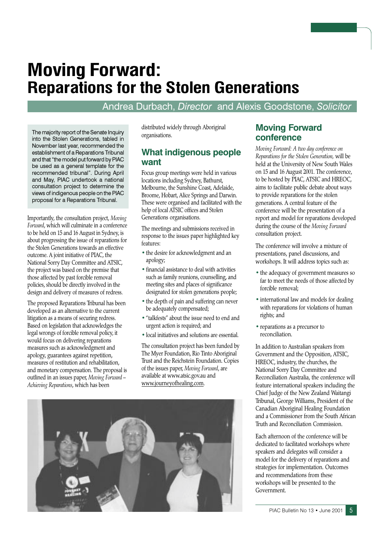## **Moving Forward: Reparations for the Stolen Generations**

#### Andrea Durbach, Director and Alexis Goodstone, Solicitor

The majority report of the Senate Inquiry into the Stolen Generations, tabled in November last year, recommended the establishment of a Reparations Tribunal and that "the model put forward by PIAC be used as a general template for the recommended tribunal". During April and May, PIAC undertook a national consultation project to determine the views of indigenous people on the PIAC proposal for a Reparations Tribunal.

Importantly, the consultation project, Moving Forward, which will culminate in a conference to be held on 15 and 16 August in Sydney, is about progressing the issue of reparations for the Stolen Generations towards an effective outcome. A joint initiative of PIAC, the National Sorry Day Committee and ATSIC, the project was based on the premise that those affected by past forcible removal policies, should be directly involved in the design and delivery of measures of redress.

The proposed Reparations Tribunal has been developed as an alternative to the current litigation as a means of securing redress. Based on legislation that acknowledges the legal wrongs of forcible removal policy, it would focus on delivering reparations measures such as acknowledgment and apology, guarantees against repetition, measures of restitution and rehabilitation, and monetary compensation. The proposal is outlined in an issues paper, Moving Forward -Achieving Reparations, which has been

distributed widely through Aboriginal organisations.

#### **What indigenous people** want

Focus group meetings were held in various locations including Sydney, Bathurst, Melbourne, the Sunshine Coast, Adelaide, Broome, Hobart, Alice Springs and Darwin. These were organised and facilitated with the help of local ATSIC offices and Stolen Generations organisations.

The meetings and submissions received in response to the issues paper highlighted key features:

- the desire for acknowledgment and an apology;
- financial assistance to deal with activities such as family reunions, counselling, and meeting sites and places of significance designated for stolen generations people;
- the depth of pain and suffering can never be adequately compensated;
- "talkfests" about the issue need to end and urgent action is required; and
- local initiatives and solutions are essential.

The consultation project has been funded by The Myer Foundation, Rio Tinto Aboriginal Trust and the Reichstein Foundation. Copies of the issues paper, Moving Forward, are available at www.atsic.gov.au and www.journeyofhealing.com.



#### **Moving Forward** conference

Moving Forward: A two day conference on Reparations for the Stolen Generation, will be held at the University of New South Wales on 15 and 16 August 2001. The conference, to be hosted by PIAC, ATSIC and HREOC, aims to facilitate public debate about ways to provide reparations for the stolen generations. A central feature of the conference will be the presentation of a report and model for reparations developed during the course of the Moving Forward consultation project.

The conference will involve a mixture of presentations, panel discussions, and workshops. It will address topics such as:

- the adequacy of government measures so far to meet the needs of those affected by forcible removal:
- international law and models for dealing with reparations for violations of human rights: and
- reparations as a precursor to reconciliation.

In addition to Australian speakers from Government and the Opposition, ATSIC, HREOC, industry, the churches, the National Sorry Day Committee and Reconciliation Australia, the conference will feature international speakers including the Chief Judge of the New Zealand Waitangi Tribunal, George Williams, President of the Canadian Aboriginal Healing Foundation and a Commissioner from the South African Truth and Reconciliation Commission.

Each afternoon of the conference will be dedicated to facilitated workshops where speakers and delegates will consider a model for the delivery of reparations and strategies for implementation. Outcomes and recommendations from these workshops will be presented to the Government.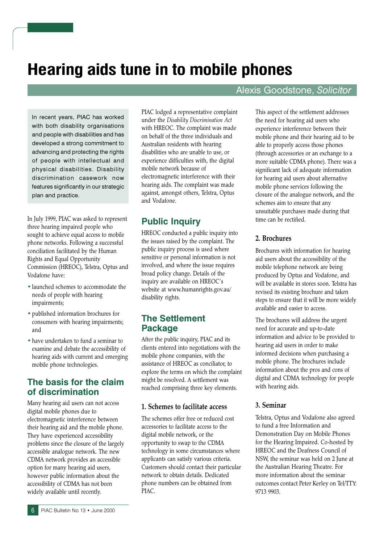## Hearing aids tune in to mobile phones

In recent years, PIAC has worked with both disability organisations and people with disabilities and has developed a strong commitment to advancing and protecting the rights of people with intellectual and physical disabilities. Disability discrimination casework now features significantly in our strategic plan and practice.

In July 1999, PIAC was asked to represent three hearing impaired people who sought to achieve equal access to mobile phone networks. Following a successful conciliation facilitated by the Human Rights and Equal Opportunity Commission (HREOC), Telstra, Optus and Vodafone have:

- launched schemes to accommodate the needs of people with hearing impairments;
- · published information brochures for consumers with hearing impairments; and
- have undertaken to fund a seminar to examine and debate the accessibility of hearing aids with current and emerging mobile phone technologies.

#### The basis for the claim of discrimination

Many hearing aid users can not access digital mobile phones due to electromagnetic interference between their hearing aid and the mobile phone. They have experienced accessibility problems since the closure of the largely accessible analogue network. The new CDMA network provides an accessible option for many hearing aid users, however public information about the accessibility of CDMA has not been widely available until recently.

PIAC lodged a representative complaint under the Disability Discrimination Act with HREOC. The complaint was made on behalf of the three individuals and Australian residents with hearing disabilities who are unable to use, or experience difficulties with, the digital mobile network because of electromagnetic interference with their hearing aids. The complaint was made against, amongst others, Telstra, Optus and Vodafone.

#### **Public Inquiry**

HREOC conducted a public inquiry into the issues raised by the complaint. The public inquiry process is used where sensitive or personal information is not involved, and where the issue requires broad policy change. Details of the inquiry are available on HREOC's website at www.humanrights.gov.au/ disability rights.

#### **The Settlement Package**

After the public inquiry, PIAC and its clients entered into negotiations with the mobile phone companies, with the assistance of HREOC as conciliator, to explore the terms on which the complaint might be resolved. A settlement was reached comprising three key elements.

#### 1. Schemes to facilitate access

The schemes offer free or reduced cost accessories to facilitate access to the digital mobile network, or the opportunity to swap to the CDMA technology in some circumstances where applicants can satisfy various criteria. Customers should contact their particular network to obtain details. Dedicated phone numbers can be obtained from  $PIAC$ 

#### Alexis Goodstone, Solicitor

This aspect of the settlement addresses the need for hearing aid users who experience interference between their mobile phone and their hearing aid to be able to properly access those phones (through accessories or an exchange to a more suitable CDMA phone). There was a significant lack of adequate information for hearing aid users about alternative mobile phone services following the closure of the analogue network, and the schemes aim to ensure that any unsuitable purchases made during that time can be rectified.

#### 2. Brochures

Brochures with information for hearing aid users about the accessibility of the mobile telephone network are being produced by Optus and Vodafone, and will be available in stores soon. Telstra has revised its existing brochure and taken steps to ensure that it will be more widely available and easier to access.

The brochures will address the urgent need for accurate and up-to-date information and advice to be provided to hearing aid users in order to make informed decisions when purchasing a mobile phone. The brochures include information about the pros and cons of digital and CDMA technology for people with hearing aids.

#### 3. Seminar

Telstra, Optus and Vodafone also agreed to fund a free Information and Demonstration Day on Mobile Phones for the Hearing Impaired. Co-hosted by HREOC and the Deafness Council of NSW, the seminar was held on 2 June at the Australian Hearing Theatre. For more information about the seminar outcomes contact Peter Kerley on Tel/TTY: 9713 9903.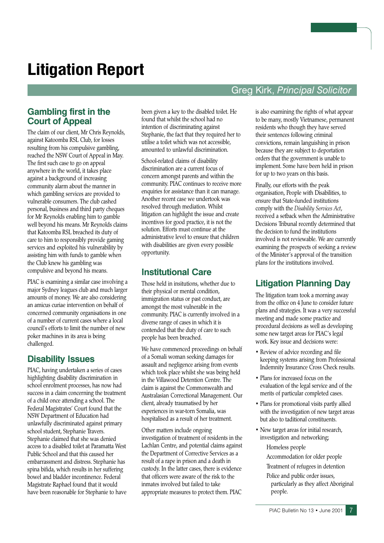## **Litigation Report**

#### **Greg Kirk, Principal Solicitor**

#### **Gambling first in the Court of Appeal**

The claim of our client. Mr Chris Revnolds. against Katoomba RSL Club, for losses resulting from his compulsive gambling, reached the NSW Court of Appeal in May. The first such case to go on appeal anywhere in the world, it takes place against a background of increasing community alarm about the manner in which gambling services are provided to vulnerable consumers. The club cashed personal, business and third party cheques for Mr Reynolds enabling him to gamble well beyond his means. Mr Reynolds claims that Katoomba RSL breached its duty of care to him to responsibly provide gaming services and exploited his vulnerability by assisting him with funds to gamble when the Club knew his gambling was compulsive and beyond his means.

PIAC is examining a similar case involving a major Sydney leagues club and much larger amounts of money. We are also considering an amicus curiae intervention on behalf of concerned community organisations in one of a number of current cases where a local council's efforts to limit the number of new poker machines in its area is being challenged.

#### **Disability Issues**

PIAC, having undertaken a series of cases highlighting disability discrimination in school enrolment processes, has now had success in a claim concerning the treatment of a child once attending a school. The Federal Magistrates' Court found that the NSW Department of Education had unlawfully discriminated against primary school student, Stephanie Travers. Stephanie claimed that she was denied access to a disabled toilet at Paramatta West Public School and that this caused her embarrassment and distress. Stephanie has spina bifida, which results in her suffering bowel and bladder incontinence. Federal Magistrate Raphael found that it would have been reasonable for Stephanie to have

been given a key to the disabled toilet. He found that whilst the school had no intention of discriminating against Stephanie, the fact that they required her to utilise a toilet which was not accessible, amounted to unlawful discrimination.

School-related claims of disability discrimination are a current focus of concern amongst parents and within the community. PIAC continues to receive more enquiries for assistance than it can manage. Another recent case we undertook was resolved through mediation. Whilst litigation can highlight the issue and create incentives for good practice, it is not the solution. Efforts must continue at the administrative level to ensure that children with disabilities are given every possible opportunity.

#### **Institutional Care**

Those held in insitutions, whether due to their physical or mental condition, immigration status or past conduct, are amongst the most vulnerable in the community. PIAC is currently involved in a diverse range of cases in which it is contended that the duty of care to such people has been breached.

We have commenced proceedings on behalf of a Somali woman seeking damages for assault and negligence arising from events which took place whilst she was being held in the Villawood Detention Centre. The claim is against the Commonwealth and Australasian Correctional Management. Our client, already traumatised by her experiences in war-torn Somalia, was hospitalised as a result of her treatment.

Other matters include ongoing investigation of treatment of residents in the Lachlan Centre, and potential claims against the Department of Corrective Services as a result of a rape in prison and a death in custody. In the latter cases, there is evidence that officers were aware of the risk to the inmates involved but failed to take appropriate measures to protect them. PIAC

is also examining the rights of what appear to be many, mostly Vietnamese, permanent residents who though they have served their sentences following criminal convictions, remain languishing in prison because they are subject to deportation orders that the government is unable to implement. Some have been held in prison for up to two years on this basis.

Finally, our efforts with the peak organisation, People with Disabilities, to ensure that State-funded institutions comply with the Disability Services Act, received a setback when the Administrative Decisions Tribunal recently determined that the decision to fund the institutions involved is not reviewable. We are currently examining the prospects of seeking a review of the Minister's approval of the transition plans for the institutions involved.

#### **Litigation Planning Day**

The litigation team took a morning away from the office on 4 June to consider future plans and strategies. It was a very successful meeting and made some practice and procedural decisions as well as developing some new target areas for PIAC's legal work. Key issue and decisions were:

- Review of advice recording and file keeping systems arising from Professional Indemnity Insurance Cross Check results.
- Plans for increased focus on the evaluation of the legal service and of the merits of particular completed cases.
- Plans for promotional visits partly allied with the investigation of new target areas but also to taditional constituents.
- New target areas for initial research, investigation and networking; Homeless people

Accommodation for older people

- Treatment of refugees in detention
- Police and public order issues, particularly as they affect Aboriginal people.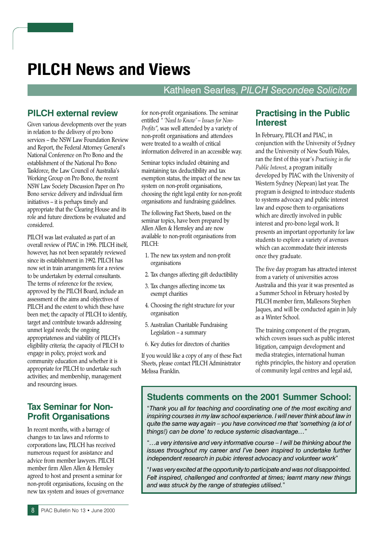## **PILCH News and Views**

#### Kathleen Searles, PILCH Secondee Solicitor

#### **PILCH external review**

Given various developments over the years in relation to the delivery of pro bono services - the NSW Law Foundation Review and Report, the Federal Attorney General's National Conference on Pro Bono and the establishment of the National Pro Bono Taskforce, the Law Council of Australia's Working Group on Pro Bono, the recent NSW Law Society Discussion Paper on Pro Bono service delivery and individual firm initiatives - it is perhaps timely and appropriate that the Clearing House and its role and future directions be evaluated and considered.

PILCH was last evaluated as part of an overall review of PIAC in 1996. PILCH itself, however, has not been separately reviewed since its establishment in 1992. PILCH has now set in train arrangements for a review to be undertaken by external consultants. The terms of reference for the review, approved by the PILCH Board, include an assessment of the aims and objectives of PILCH and the extent to which these have been met; the capacity of PILCH to identify, target and contribute towards addressing unmet legal needs; the ongoing appropriateness and viability of PILCH's eligibility criteria; the capacity of PILCH to engage in policy, project work and community education and whether it is appropriate for PILCH to undertake such activities; and membership, management and resourcing issues.

#### **Tax Seminar for Non-Profit Organisations**

In recent months, with a barrage of changes to tax laws and reforms to corporations law, PILCH has received numerous request for assistance and advice from member lawyers. PILCH member firm Allen Allen & Hemsley agreed to host and present a seminar for non-profit organisations, focusing on the new tax system and issues of governance for non-profit organisations. The seminar entitled " Need to Know' - Issues for Non-Profits", was well attended by a variety of non-profit organisations and attendees were treated to a wealth of critical information delivered in an accessible way.

Seminar topics included obtaining and maintaining tax deductibility and tax exemption status, the impact of the new tax system on non-profit organisations, choosing the right legal entity for non-profit organisations and fundraising guidelines.

The following Fact Sheets, based on the seminar topics, have been prepared by Allen Allen & Hemsley and are now available to non-profit organisations from PILCH:

- 1. The new tax system and non-profit organisations
- 2. Tax changes affecting gift deductibility
- 3. Tax changes affecting income tax exempt charities
- 4. Choosing the right structure for your organisation
- 5. Australian Charitable Fundraising Legislation - a summary
- 6. Key duties for directors of charities

If you would like a copy of any of these Fact Sheets, please contact PILCH Administrator Melissa Franklin.

#### **Practising in the Public Interest**

In February, PILCH and PIAC, in conjunction with the University of Sydney and the University of New South Wales, ran the first of this year's Practising in the Public Interest, a program initially developed by PIAC with the University of Western Sydney (Nepean) last year. The program is designed to introduce students to systems advocacy and public interest law and expose them to organisations which are directly involved in public interest and pro-bono legal work. It presents an important opportunity for law students to explore a variety of avenues which can accommodate their interests once they graduate.

The five day program has attracted interest from a variety of universities across Australia and this year it was presented as a Summer School in February hosted by PILCH member firm, Mallesons Stephen Jaques, and will be conducted again in July as a Winter School.

The training component of the program, which covers issues such as public interest litigation, campaign development and media strategies, international human rights principles, the history and operation of community legal centres and legal aid,

#### **Students comments on the 2001 Summer School:**

"Thank you all for teaching and coordinating one of the most exciting and inspiring courses in my law school experience. I will never think about law in quite the same way again - you have convinced me that 'something (a lot of things!) can be done' to reduce systemic disadvantage..."

"...a very intensive and very informative course - I will be thinking about the issues throughout my career and I've been inspired to undertake further independent research in pubic interest advocacy and volunteer work"

"I was very excited at the opportunity to participate and was not disappointed. Felt inspired, challenged and confronted at times; learnt many new things and was struck by the range of strategies utilised."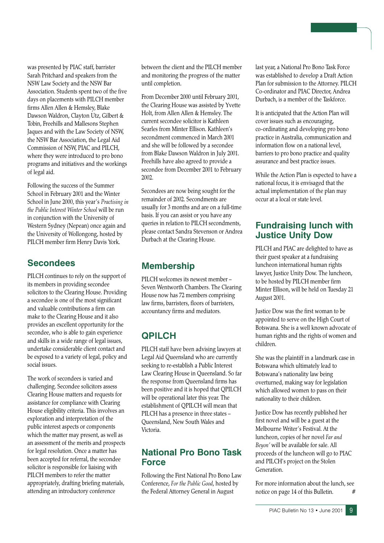was presented by PIAC staff, barrister Sarah Pritchard and speakers from the NSW Law Society and the NSW Bar Association. Students spent two of the five days on placements with PILCH member firms Allen Allen & Hemsley, Blake Dawson Waldron, Clayton Utz, Gilbert & Tobin, Freehills and Mallesons Stephen Jaques and with the Law Society of NSW. the NSW Bar Association, the Legal Aid Commission of NSW, PIAC and PILCH, where they were introduced to pro bono programs and initiatives and the workings of legal aid.

Following the success of the Summer School in February 2001 and the Winter School in June 2000, this year's Practising in the Public Interest Winter School will be run in conjunction with the University of Western Sydney (Nepean) once again and the University of Wollongong, hosted by PILCH member firm Henry Davis York.

#### **Secondees**

PILCH continues to rely on the support of its members in providing secondee solicitors to the Clearing House. Providing a secondee is one of the most significant and valuable contributions a firm can make to the Clearing House and it also provides an excellent opportunity for the secondee, who is able to gain experience and skills in a wide range of legal issues, undertake considerable client contact and be exposed to a variety of legal, policy and social issues

The work of secondees is varied and challenging. Secondee solicitors assess Clearing House matters and requests for assistance for compliance with Clearing House eligibility criteria. This involves an exploration and interpretation of the public interest aspects or components which the matter may present, as well as an assessment of the merits and prospects for legal resolution. Once a matter has been accepted for referral, the secondee solicitor is responsible for liaising with PILCH members to refer the matter appropriately, drafting briefing materials, attending an introductory conference

between the client and the PILCH member and monitoring the progress of the matter until completion.

From December 2000 until February 2001, the Clearing House was assisted by Yvette Holt, from Allen Allen & Hemsley. The current secondee solicitor is Kathleen Searles from Minter Ellison, Kathleen's secondment commenced in March 2001 and she will be followed by a secondee from Blake Dawson Waldron in July 2001. Freehills have also agreed to provide a secondee from December 2001 to February 2002.

Secondees are now being sought for the remainder of 2002. Secondments are usually for 3 months and are on a full-time basis. If you can assist or you have any queries in relation to PILCH secondments, please contact Sandra Stevenson or Andrea Durbach at the Clearing House.

#### **Membership**

PILCH welcomes its newest member -Seven Wentworth Chambers. The Clearing House now has 72 members comprising law firms, barristers, floors of barristers, accountancy firms and mediators.

#### **OPILCH**

PILCH staff have been advising lawyers at Legal Aid Queensland who are currently seeking to re-establish a Public Interest Law Clearing House in Queensland. So far the response from Queensland firms has been positive and it is hoped that QPILCH will be operational later this year. The establishment of OPILCH will mean that PILCH has a presence in three states -Queensland, New South Wales and Victoria

#### **National Pro Bono Task Force**

Following the First National Pro Bono Law Conference, For the Public Good, hosted by the Federal Attorney General in August

last year, a National Pro Bono Task Force was established to develop a Draft Action Plan for submission to the Attorney. PILCH Co-ordinator and PIAC Director, Andrea Durbach, is a member of the Taskforce.

It is anticipated that the Action Plan will cover issues such as encouraging, co-ordinating and developing pro bono practice in Australia, communication and information flow on a national level, barriers to pro bono practice and quality assurance and best practice issues.

While the Action Plan is expected to have a national focus, it is envisaged that the actual implementation of the plan may occur at a local or state level.

#### **Fundraising lunch with Justice Unity Dow**

PILCH and PIAC are delighted to have as their guest speaker at a fundraising luncheon international human rights lawyer, Justice Unity Dow. The luncheon, to be hosted by PILCH member firm Minter Ellison, will be held on Tuesday 21 August 2001.

Justice Dow was the first woman to be appointed to serve on the High Court of Botswana. She is a well known advocate of human rights and the rights of women and children

She was the plaintiff in a landmark case in Botswana which ultimately lead to Botswana's nationality law being overturned, making way for legislation which allowed women to pass on their nationality to their children.

Justice Dow has recently published her first novel and will be a guest at the Melbourne Writer's Festival. At the luncheon, copies of her novel Far and Beyon' will be available for sale. All proceeds of the luncheon will go to PIAC and PILCH's project on the Stolen Generation

For more information about the lunch, see notice on page 14 of this Bulletin.  $#$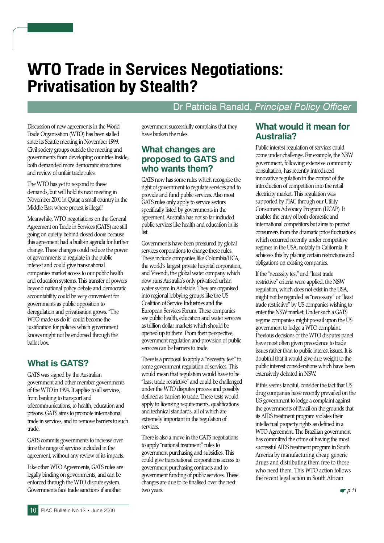## **WTO Trade in Services Negotiations: Privatisation by Stealth?**

#### Dr Patricia Ranald, Principal Policy Officer

Discussion of new agreements in the World Trade Organisation (WTO) has been stalled since its Seattle meeting in November 1999. Civil society groups outside the meeting and governments from developing countries inside, both demanded more democratic structures and review of unfair trade rules.

The WTO has yet to respond to these demands, but will hold its next meeting in November 2001 in Qatar, a small country in the Middle East where protest is illegal!

Meanwhile, WTO negotiations on the General Agreement on Trade in Services (GATS) are still going on quietly behind closed doors because this agreement had a built-in agenda for further change. These changes could reduce the power of governments to regulate in the public interest and could give transnational companies market access to our public health and education systems. This transfer of powers beyond national policy debate and democratic accountability could be very convenient for governments as public opposition to deregulation and privatisation grows. "The WTO made us do it" could become the justification for policies which government knows might not be endorsed through the ballot box.

#### **What is GATS?**

GATS was signed by the Australian government and other member governments of the WTO in 1994. It applies to all services, from banking to transport and telecommunications, to health, education and prisons. GATS aims to promote international trade in services, and to remove barriers to such trade.

GATS commits governments to increase over time the range of services included in the agreement, without any review of its impacts.

Like other WTO Agreements, GATS rules are legally binding on governments, and can be enforced through the WTO dispute system. Governments face trade sanctions if another

government successfully complains that they have broken the rules.

#### **What changes are** proposed to GATS and who wants them?

GATS now has some rules which recognise the right of government to regulate services and to provide and fund public services. Also most GATS rules only apply to service sectors specifically listed by governments in the agreement. Australia has not so far included public services like health and education in its list

Governments have been pressured by global services corporations to change these rules. These include companies like Columbia/HCA, the world's largest private hospital corporation, and Vivendi, the global water company which now runs Australia's only privatised urban water system in Adelaide. They are organised into regional lobbying groups like the US Coalition of Service Industries and the European Services Forum. These companies see public health, education and water services as trillion dollar markets which should be opened up to them. From their perspective, government regulation and provision of public services can be barriers to trade.

There is a proposal to apply a "necessity test" to some government regulation of services. This would mean that regulation would have to be "least trade restrictive" and could be challenged under the WTO disputes process and possibly defined as barriers to trade. These tests would apply to licensing requirements, qualifications and technical standards, all of which are extremely important in the regulation of services.

There is also a move in the GATS negotiations to apply "national treatment" rules to government purchasing and subsidies. This could give transnational corporations access to government purchasing contracts and to government funding of public services. These changes are due to be finalised over the next two years.

#### What would it mean for **Australia?**

Public interest regulation of services could come under challenge. For example, the NSW government, following extensive community consultation, has recently introduced innovative regulation in the context of the introduction of competition into the retail electricity market. This regulation was supported by PIAC through our Utility Consumers Advocacy Program (UCAP). It enables the entry of both domestic and international competitors but aims to protect consumers from the dramatic price fluctuations which occurred recently under competitive regimes in the USA, notably in California. It achieves this by placing certain restrictions and obligations on existing companies.

If the "necessity test" and "least trade restrictive" criteria were applied, the NSW regulation, which does not exist in the USA, might not be regarded as "necessary" or "least trade restrictive" by US companies wishing to enter the NSW market. Under such a GATS regime companies might prevail upon the US government to lodge a WTO complaint. Previous decisions of the WTO disputes panel have most often given precedence to trade issues rather than to public interest issues. It is doubtful that it would give due weight to the public interest considerations which have been extensively debated in NSW.

If this seems fanciful, consider the fact that US drug companies have recently prevailed on the US government to lodge a complaint against the governments of Brazil on the grounds that its AIDS treatment program violates their intellectual property rights as defined in a WTO Agreement. The Brazilian government has committed the crime of having the most successful AIDS treatment program in South America by manufacturing cheap generic drugs and distributing them free to those who need them. This WTO action follows the recent legal action in South African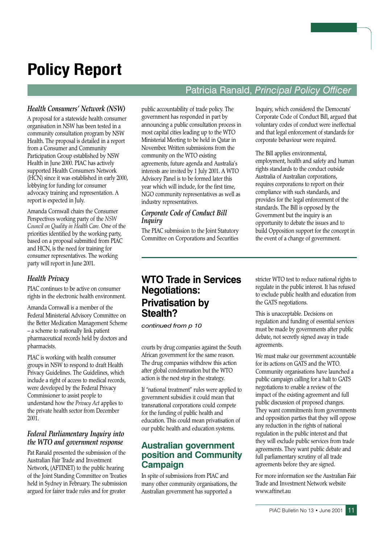## **Policy Report**

#### Patricia Ranald, Principal Policy Officer

#### **Health Consumers' Network (NSW)**

A proposal for a statewide health consumer organisation in NSW has been tested in a community consultation program by NSW Health. The proposal is detailed in a report from a Consumer and Community Participation Group established by NSW Health in June 2000. PIAC has actively supported Health Consumers Network (HCN) since it was established in early 2000, lobbying for funding for consumer advocacy training and representation. A report is expected in July.

Amanda Cornwall chairs the Consumer Perspectives working party of the NSW Council on Quality in Health Care. One of the priorities identified by the working party, based on a proposal submitted from PIAC and HCN, is the need for training for consumer representatives. The working party will report in June 2001.

#### **Health Privacy**

PIAC continues to be active on consumer rights in the electronic health environment.

Amanda Cornwall is a member of the Federal Ministerial Advisory Committee on the Better Medication Management Scheme - a scheme to nationally link patient pharmaceutical records held by doctors and pharmacists.

PIAC is working with health consumer groups in NSW to respond to draft Health Privacy Guidelines. The Guidelines, which include a right of access to medical records, were developed by the Federal Privacy Commissioner to assist people to understand how the Privacy Act applies to the private health sector from December  $2001.$ 

#### Federal Parliamentary Inquiry into the WTO and government response

Pat Ranald presented the submission of the Australian Fair Trade and Investment Network, (AFTINET) to the public hearing of the Joint Standing Committee on Treaties held in Sydney in February. The submission argued for fairer trade rules and for greater

public accountability of trade policy. The government has responded in part by announcing a public consultation process in most capital cities leading up to the WTO Ministerial Meeting to be held in Qatar in November. Written submissions from the community on the WTO existing agreements, future agenda and Australia's interests are invited by 1 July 2001. A WTO Advisory Panel is to be formed later this year which will include, for the first time, NGO community representatives as well as industry representatives.

#### Corporate Code of Conduct Bill *Inquiry*

The PIAC submission to the Joint Statutory Committee on Corporations and Securities Inquiry, which considered the Democrats' Corporate Code of Conduct Bill, argued that voluntary codes of conduct were ineffectual and that legal enforcement of standards for corporate behaviour were required.

The Bill applies environmental, employment, health and safety and human rights standards to the conduct outside Australia of Australian corporations, requires corporations to report on their compliance with such standards, and provides for the legal enforcement of the standards. The Bill is opposed by the Government but the inquiry is an opportunity to debate the issues and to build Opposition support for the concept in the event of a change of government.

#### **WTO Trade in Services Negotiations: Privatisation by** Stealth?

continued from p 10

courts by drug companies against the South African government for the same reason. The drug companies withdrew this action after global condemnation but the WTO action is the next step in the strategy.

If "national treatment" rules were applied to government subsidies it could mean that transnational corporations could compete for the funding of public health and education. This could mean privatisation of our public health and education systems.

#### **Australian government** position and Community **Campaign**

In spite of submissions from PIAC and many other community organisations, the Australian government has supported a

stricter WTO test to reduce national rights to regulate in the public interest. It has refused to exclude public health and education from the GATS negotiations.

This is unacceptable. Decisions on regulation and funding of essential services must be made by governments after public debate, not secretly signed away in trade agreements.

We must make our government accountable for its actions on GATS and the WTO. Community organisations have launched a public campaign calling for a halt to GATS negotiations to enable a review of the impact of the existing agreement and full public discussion of proposed changes. They want commitments from governments and opposition parties that they will oppose any reduction in the rights of national regulation in the public interest and that they will exclude public services from trade agreements. They want public debate and full parliamentary scrutiny of all trade agreements before they are signed.

For more information see the Australian Fair Trade and Investment Network website www.aftinet.au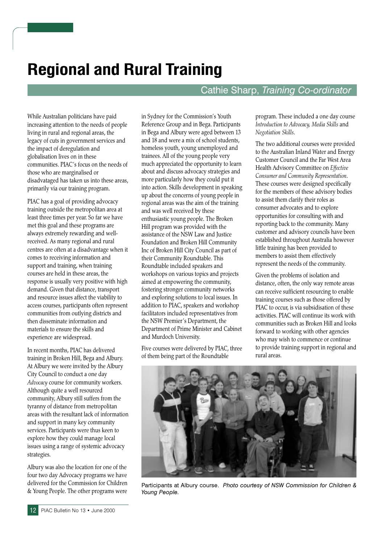## **Regional and Rural Training**

#### Cathie Sharp, Training Co-ordinator

While Australian politicians have paid increasing attention to the needs of people living in rural and regional areas, the legacy of cuts in government services and the impact of deregulation and globalisation lives on in these communities. PIAC's focus on the needs of those who are marginalised or disadvataged has taken us into these areas, primarily via our training program.

PIAC has a goal of providing advocacy training outside the metropolitan area at least three times per year. So far we have met this goal and these programs are always extremely rewarding and wellreceived. As many regional and rural centres are often at a disadvantage when it comes to receiving information and support and training, when training courses are held in these areas, the response is usually very positive with high demand. Given that distance, transport and resource issues affect the viability to access courses, participants often represent communities from outlying districts and then disseminate information and materials to ensure the skills and experience are widespread.

In recent months, PIAC has delivered training in Broken Hill, Bega and Albury. At Albury we were invited by the Albury City Council to conduct a one day Advocacy course for community workers. Although quite a well resourced community, Albury still suffers from the tyranny of distance from metropolitan areas with the resultant lack of information and support in many key community services. Participants were thus keen to explore how they could manage local issues using a range of systemic advocacy strategies.

Albury was also the location for one of the four two day Advocacy programs we have delivered for the Commission for Children & Young People. The other programs were in Sydney for the Commission's Youth Reference Group and in Bega. Participants in Bega and Albury were aged between 13 and 18 and were a mix of school students, homeless youth, young unemployed and trainees. All of the young people very much appreciated the opportunity to learn about and discuss advocacy strategies and more particularly how they could put it into action. Skills development in speaking up about the concerns of young people in regional areas was the aim of the training and was well received by these enthusiastic young people. The Broken Hill program was provided with the assistance of the NSW Law and Justice Foundation and Broken Hill Community Inc of Broken Hill City Council as part of their Community Roundtable. This Roundtable included speakers and workshops on various topics and projects aimed at empowering the community, fostering stronger community networks and exploring solutions to local issues. In addition to PIAC, speakers and workshop facilitators included representatives from the NSW Premier's Department, the Department of Prime Minister and Cabinet and Murdoch University.

Five courses were delivered by PIAC, three of them being part of the Roundtable

program. These included a one day course Introduction to Advocacy, Media Skills and Negotiation Skills.

The two additional courses were provided to the Australian Inland Water and Energy Customer Council and the Far West Area Health Advisory Committee on Effective Consumer and Community Representation. These courses were designed specifically for the members of these advisory bodies to assist them clarify their roles as consumer advocates and to explore opportunities for consulting with and reporting back to the community. Many customer and advisory councils have been established throughout Australia however little training has been provided to members to assist them effectively represent the needs of the community.

Given the problems of isolation and distance, often, the only way remote areas can receive sufficient resourcing to enable training courses such as those offered by PIAC to occur, is via subsidisation of these activities PIAC will continue its work with communities such as Broken Hill and looks forward to working with other agencies who may wish to commence or continue to provide training support in regional and rural areas.



Participants at Albury course. Photo courtesy of NSW Commission for Children & Young People.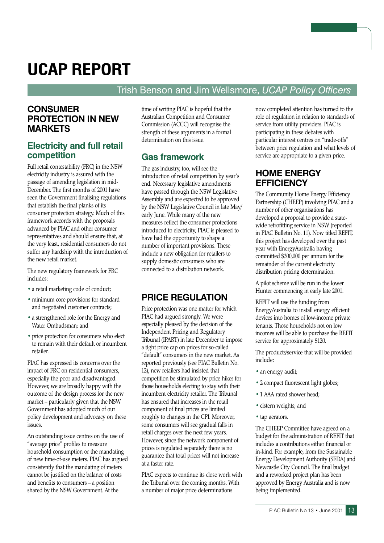## **UCAP REPORT**

#### Trish Benson and Jim Wellsmore, UCAP Policy Officers

#### **CONSUMER PROTECTION IN NEW MARKETS**

#### **Electricity and full retail** competition

Full retail contestability (FRC) in the NSW electricity industry is assured with the passage of amending legislation in mid-December. The first months of 2001 have seen the Government finalising regulations that establish the final planks of its consumer protection strategy. Much of this framework accords with the proposals advanced by PIAC and other consumer representatives and should ensure that, at the very least, residential consumers do not suffer any hardship with the introduction of the new retail market

The new regulatory framework for FRC includes:

- a retail marketing code of conduct;
- · minimum core provisions for standard and negotiated customer contracts;
- a strengthened role for the Energy and Water Ombudsman; and
- price protection for consumers who elect to remain with their default or incumbent retailer

PIAC has expressed its concerns over the impact of FRC on residential consumers, especially the poor and disadvantaged. However, we are broadly happy with the outcome of the design process for the new market - particularly given that the NSW Government has adopted much of our policy development and advocacy on these issues.

An outstanding issue centres on the use of "average price" profiles to measure household consumption or the mandating of new time-of-use meters. PIAC has argued consistently that the mandating of meters cannot be justified on the balance of costs and benefits to consumers - a position shared by the NSW Government. At the

time of writing PIAC is hopeful that the Australian Competition and Consumer Commission (ACCC) will recognise the strength of these arguments in a formal determination on this issue

#### **Gas framework**

The gas industry, too, will see the introduction of retail competition by year's end. Necessary legislative amendments have passed through the NSW Legislative Assembly and are expected to be approved by the NSW Legislative Council in late May/ early June. While many of the new measures reflect the consumer protections introduced to electricity, PIAC is pleased to have had the opportunity to shape a number of important provisions. These include a new obligation for retailers to supply domestic consumers who are connected to a distribution network.

#### **PRICE REGULATION**

Price protection was one matter for which PIAC had argued strongly. We were especially pleased by the decision of the Independent Pricing and Regulatory Tribunal (IPART) in late December to impose a tight price cap on prices for so-called "default" consumers in the new market. As reported previously (see PIAC Bulletin No. 12), new retailers had insisted that competition be stimulated by price hikes for those households electing to stay with their incumbent electricity retailer. The Tribunal has ensured that increases in the retail component of final prices are limited roughly to changes in the CPI. Moreover, some consumers will see gradual falls in retail charges over the next few years. However, since the network component of prices is regulated separately there is no guarantee that total prices will not increase at a faster rate.

PIAC expects to continue its close work with the Tribunal over the coming months. With a number of major price determinations

now completed attention has turned to the role of regulation in relation to standards of service from utility providers. PIAC is participating in these debates with particular interest centres on "trade-offs" between price regulation and what levels of service are appropriate to a given price.

#### **HOME ENERGY EFFICIENCY**

The Community Home Energy Efficiency Partnership (CHEEP) involving PIAC and a number of other organisations has developed a proposal to provide a statewide retrofitting service in NSW (reported in PIAC Bulletin No. 11). Now titled REFIT, this project has developed over the past year with EnergyAustralia having committed \$300,000 per annum for the remainder of the current electricity distribution pricing determination.

A pilot scheme will be run in the lower Hunter commencing in early late 2001.

REFIT will use the funding from EnergyAustralia to install energy efficient devices into homes of low-income private tenants. Those households not on low incomes will be able to purchase the REFIT service for approximately \$120.

The products/service that will be provided include:

- an energy audit;
- 2 compact fluorescent light globes;
- 1 AAA rated shower head;
- · cistern weights; and
- tap aerators.

The CHEEP Committee have agreed on a budget for the administration of REFIT that includes a contributions either financial or in-kind. For example, from the Sustainable Energy Development Authority (SEDA) and Newcastle City Council. The final budget and a reworked project plan has been approved by Energy Australia and is now being implemented.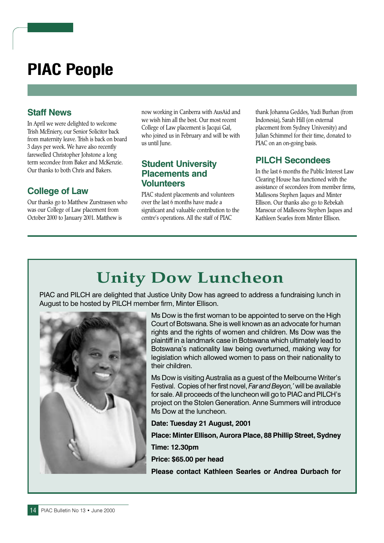## **PIAC People**

#### **Staff News**

In April we were delighted to welcome Trish McEniery, our Senior Solicitor back from maternity leave. Trish is back on board 3 days per week. We have also recently farewelled Christopher Johstone a long term secondee from Baker and McKenzie. Our thanks to both Chris and Bakers.

#### **College of Law**

Our thanks go to Matthew Zurstrassen who was our College of Law placement from October 2000 to January 2001. Matthew is

now working in Canberra with AusAid and we wish him all the best. Our most recent College of Law placement is Jacqui Gal, who joined us in February and will be with us until June.

#### **Student University Placements and Volunteers**

PIAC student placements and volunteers over the last 6 months have made a significant and valuable contribution to the centre's operations. All the staff of PIAC

thank Johanna Geddes, Yudi Burhan (from Indonesia), Sarah Hill (on external placement from Sydney University) and Julian Schimmel for their time, donated to PIAC on an on-going basis.

#### **PILCH Secondees**

In the last 6 months the Public Interest Law Clearing House has functioned with the assistance of secondees from member firms, Mallesons Stephen Jaques and Minter Ellison. Our thanks also go to Rebekah Mansour of Mallesons Stephen Jaques and Kathleen Searles from Minter Ellison

## **Unity Dow Luncheon**

PIAC and PILCH are delighted that Justice Unity Dow has agreed to address a fundraising lunch in August to be hosted by PILCH member firm, Minter Ellison.



Ms Dow is the first woman to be appointed to serve on the High Court of Botswana. She is well known as an advocate for human rights and the rights of women and children. Ms Dow was the plaintiff in a landmark case in Botswana which ultimately lead to Botswana's nationality law being overturned, making way for legislation which allowed women to pass on their nationality to their children.

Ms Dow is visiting Australia as a quest of the Melbourne Writer's Festival. Copies of her first novel, Far and Beyon,' will be available for sale. All proceeds of the luncheon will go to PIAC and PILCH's project on the Stolen Generation. Anne Summers will introduce Ms Dow at the luncheon.

Date: Tuesday 21 August, 2001 Place: Minter Ellison, Aurora Place, 88 Phillip Street, Sydney **Time: 12.30pm** 

Price: \$65.00 per head

Please contact Kathleen Searles or Andrea Durbach for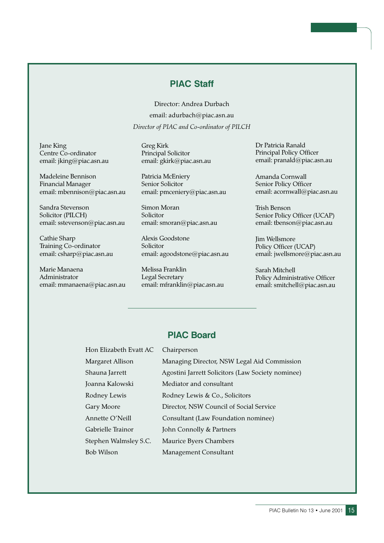#### **PIAC Staff**

Director: Andrea Durbach email: adurbach@piac.asn.au Director of PIAC and Co-ordinator of PILCH

Jane King Centre Co-ordinator email: jking@piac.asn.au

Madeleine Bennison **Financial Manager** email: mbennison@piac.asn.au

Sandra Stevenson Solicitor (PILCH) email: sstevenson@piac.asn.au

Cathie Sharp Training Co-ordinator email: csharp@piac.asn.au

Marie Manaena Administrator email: mmanaena@piac.asn.au **Greg Kirk** Principal Solicitor email: gkirk@piac.asn.au

Patricia McEniery Senior Solicitor email: pmceniery@piac.asn.au

Simon Moran Solicitor email: smoran@piac.asn.au

Alexis Goodstone Solicitor email: agoodstone@piac.asn.au

Melissa Franklin Legal Secretary email: mfranklin@piac.asn.au Dr Patricia Ranald Principal Policy Officer email: pranald@piac.asn.au

Amanda Cornwall Senior Policy Officer email: acornwall@piac.asn.au

Trish Benson Senior Policy Officer (UCAP) email: tbenson@piac.asn.au

**Jim Wellsmore** Policy Officer (UCAP) email: jwellsmore@piac.asn.au

Sarah Mitchell Policy Administrative Officer email: smitchell@piac.asn.au

#### **PIAC Board**

Hon Elizabeth Evatt AC Chairperson Margaret Al Shauna Jarr Joanna Kalo Rodney Lev Gary Moore Annette O'l Gabrielle Tr Stephen Wa **Bob Wilson** 

| lison       | Managing Director, NSW Legal Aid Commission       |
|-------------|---------------------------------------------------|
| ett         | Agostini Jarrett Solicitors (Law Society nominee) |
| wski        | Mediator and consultant                           |
| vis         | Rodney Lewis & Co., Solicitors                    |
|             | Director, NSW Council of Social Service           |
| Neill       | Consultant (Law Foundation nominee)               |
| ainor       | John Connolly & Partners                          |
| lmsley S.C. | Maurice Byers Chambers                            |
|             | Management Consultant                             |